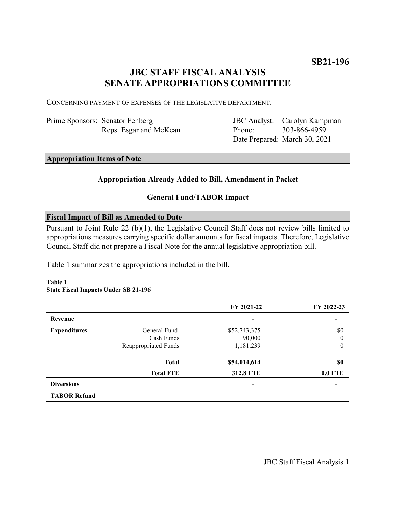# **JBC STAFF FISCAL ANALYSIS SENATE APPROPRIATIONS COMMITTEE**

CONCERNING PAYMENT OF EXPENSES OF THE LEGISLATIVE DEPARTMENT.

| Prime Sponsors: Senator Fenberg |  |
|---------------------------------|--|
| Reps. Esgar and McKean          |  |

JBC Analyst: Carolyn Kampman Phone: Date Prepared: March 30, 2021 303-866-4959

### **Appropriation Items of Note**

### **Appropriation Already Added to Bill, Amendment in Packet**

### **General Fund/TABOR Impact**

### **Fiscal Impact of Bill as Amended to Date**

Pursuant to Joint Rule 22 (b)(1), the Legislative Council Staff does not review bills limited to appropriations measures carrying specific dollar amounts for fiscal impacts. Therefore, Legislative Council Staff did not prepare a Fiscal Note for the annual legislative appropriation bill.

Table 1 summarizes the appropriations included in the bill.

### **Table 1 State Fiscal Impacts Under SB 21-196**

|                     |                      | FY 2021-22       | FY 2022-23     |
|---------------------|----------------------|------------------|----------------|
| Revenue             |                      | -                |                |
| <b>Expenditures</b> | General Fund         | \$52,743,375     | \$0            |
|                     | Cash Funds           | 90,000           | $\theta$       |
|                     | Reappropriated Funds | 1,181,239        | $\theta$       |
|                     | <b>Total</b>         | \$54,014,614     | \$0            |
|                     | <b>Total FTE</b>     | <b>312.8 FTE</b> | <b>0.0 FTE</b> |
| <b>Diversions</b>   |                      | -                |                |
| <b>TABOR Refund</b> |                      | -                |                |